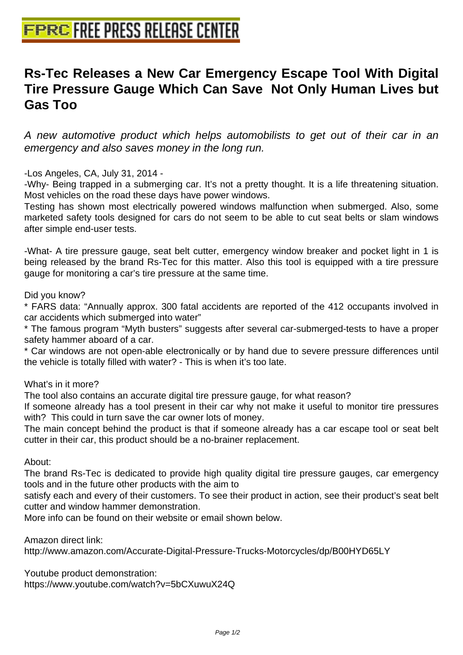## **[Rs-Tec Releases a New Car Emerg](http://www.free-press-release-center.info)ency Escape Tool With Digital Tire Pressure Gauge Which Can Save Not Only Human Lives but Gas Too**

A new automotive product which helps automobilists to get out of their car in an emergency and also saves money in the long run.

-Los Angeles, CA, July 31, 2014 -

-Why- Being trapped in a submerging car. It's not a pretty thought. It is a life threatening situation. Most vehicles on the road these days have power windows.

Testing has shown most electrically powered windows malfunction when submerged. Also, some marketed safety tools designed for cars do not seem to be able to cut seat belts or slam windows after simple end-user tests.

-What- A tire pressure gauge, seat belt cutter, emergency window breaker and pocket light in 1 is being released by the brand Rs-Tec for this matter. Also this tool is equipped with a tire pressure gauge for monitoring a car's tire pressure at the same time.

Did you know?

\* FARS data: "Annually approx. 300 fatal accidents are reported of the 412 occupants involved in car accidents which submerged into water"

\* The famous program "Myth busters" suggests after several car-submerged-tests to have a proper safety hammer aboard of a car.

\* Car windows are not open-able electronically or by hand due to severe pressure differences until the vehicle is totally filled with water? - This is when it's too late.

What's in it more?

The tool also contains an accurate digital tire pressure gauge, for what reason?

If someone already has a tool present in their car why not make it useful to monitor tire pressures with? This could in turn save the car owner lots of money.

The main concept behind the product is that if someone already has a car escape tool or seat belt cutter in their car, this product should be a no-brainer replacement.

About:

The brand Rs-Tec is dedicated to provide high quality digital tire pressure gauges, car emergency tools and in the future other products with the aim to

satisfy each and every of their customers. To see their product in action, see their product's seat belt cutter and window hammer demonstration.

More info can be found on their website or email shown below.

Amazon direct link:

http://www.amazon.com/Accurate-Digital-Pressure-Trucks-Motorcycles/dp/B00HYD65LY

Youtube product demonstration:

https://www.youtube.com/watch?v=5bCXuwuX24Q